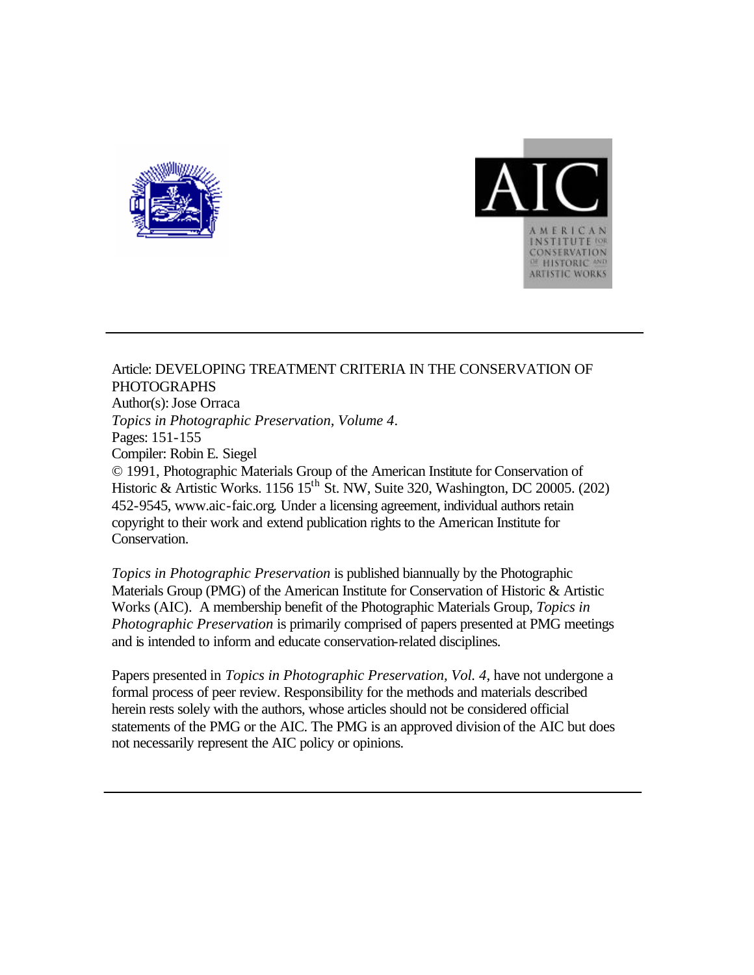



Article: DEVELOPING TREATMENT CRITERIA IN THE CONSERVATION OF PHOTOGRAPHS Author(s): Jose Orraca *Topics in Photographic Preservation, Volume 4*. Pages: 151-155 Compiler: Robin E. Siegel © 1991, Photographic Materials Group of the American Institute for Conservation of Historic & Artistic Works. 1156 15<sup>th</sup> St. NW, Suite 320, Washington, DC 20005. (202) 452-9545, www.aic-faic.org. Under a licensing agreement, individual authors retain copyright to their work and extend publication rights to the American Institute for Conservation.

*Topics in Photographic Preservation* is published biannually by the Photographic Materials Group (PMG) of the American Institute for Conservation of Historic & Artistic Works (AIC). A membership benefit of the Photographic Materials Group, *Topics in Photographic Preservation* is primarily comprised of papers presented at PMG meetings and is intended to inform and educate conservation-related disciplines.

Papers presented in *Topics in Photographic Preservation, Vol. 4*, have not undergone a formal process of peer review. Responsibility for the methods and materials described herein rests solely with the authors, whose articles should not be considered official statements of the PMG or the AIC. The PMG is an approved division of the AIC but does not necessarily represent the AIC policy or opinions.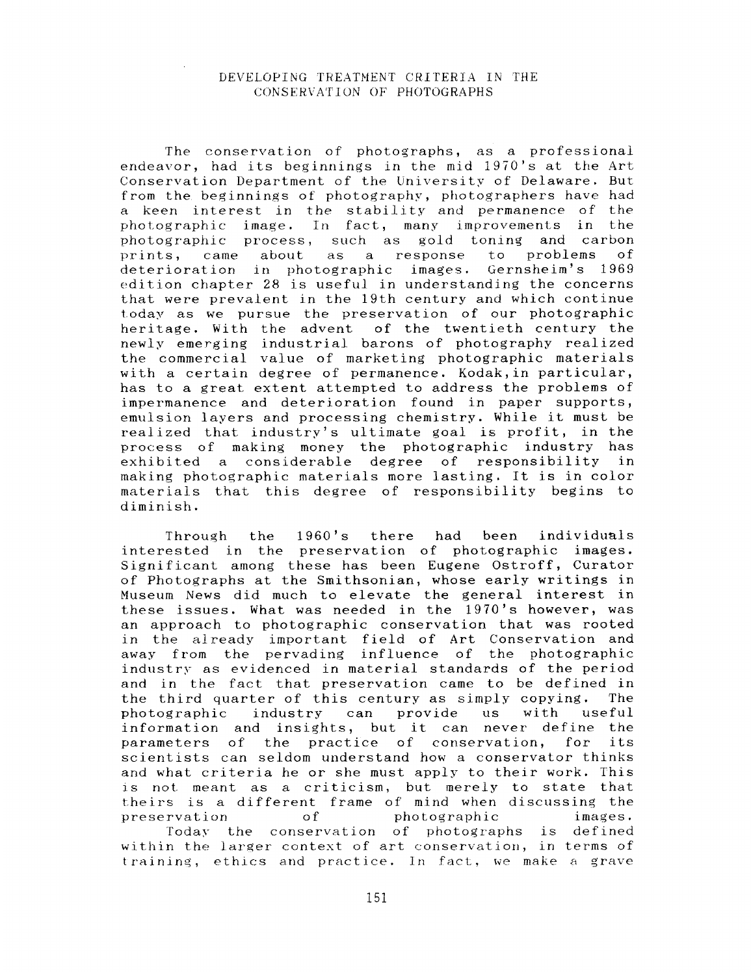## DEVELOPING TREATMENT CRITERIA IN THE CONSERVATION OF PHOTOGRAPHS

The conservation of photographs, as a professional endeavor, had its beginnings in the mid 1970's at the Art Conservation Department of the University of Delaware. But from the beginnings of photography, photographers have had a keen interest in the stability and permanence of the photographic image. In fact, many improvements in the photographic process, such as gold toning and carbon<br>prints, came about as a response to problems of prints, came about as a response deterioration in photographic images. Gernsheim's 1969 edition chapter 28 is useful in understanding the concerns that were prevalent in the 19th century and which continue t.oday *as* we pursue the preservation of our photographic heritage. With the advent of the twentieth century the newly emerging industrial barons of photography realized the commercial value of marketing photographic materials with a certain degree of permanence. Kodak,in particular, has to a great extent attempted to address the problems of impermanence and deterioration found in paper supports, emulsion layers and processing chemistry. While it must be realized that industry's ultimate goal is profit, in the process of making money the photographic industry has exhibited a considerable degree of responsibility in making photographic materials more lasting:. It is in color materia1.s that this degree of responsibility begins to diminish.

Through the 1960's there had been individuals interested in the preservation of photographic images. Significant among these has been Eugene Ostroff, Curator of Photographs at the Smithsonian, whose early writings in Museum News did much to elevate the general interest in these issues. What was needed in the 1970's however, was an approach to photographic conservation that was rooted in the already important field of Art Conservation and away from the pervading influence of the photographic industry as evidenced in material standards of the period and in the fact that preservation came to be defined in the third quarter of this century as simply- copying. The photographic industry can provide us with useful information and insights, but it can never' define the parameters of the practice of conservation, for its scientists can seldom understand how a conservator thinks and what criteria he or she must apply to their work. This **IS** not meant as **a** criticism, but merely to state that theirs is a different frame of mind when discussing the preservation of photographic images. roday the conservation of photographs is defined within the larger context of art conservation, in terms of training, ethics and practice. In fact, we make a grave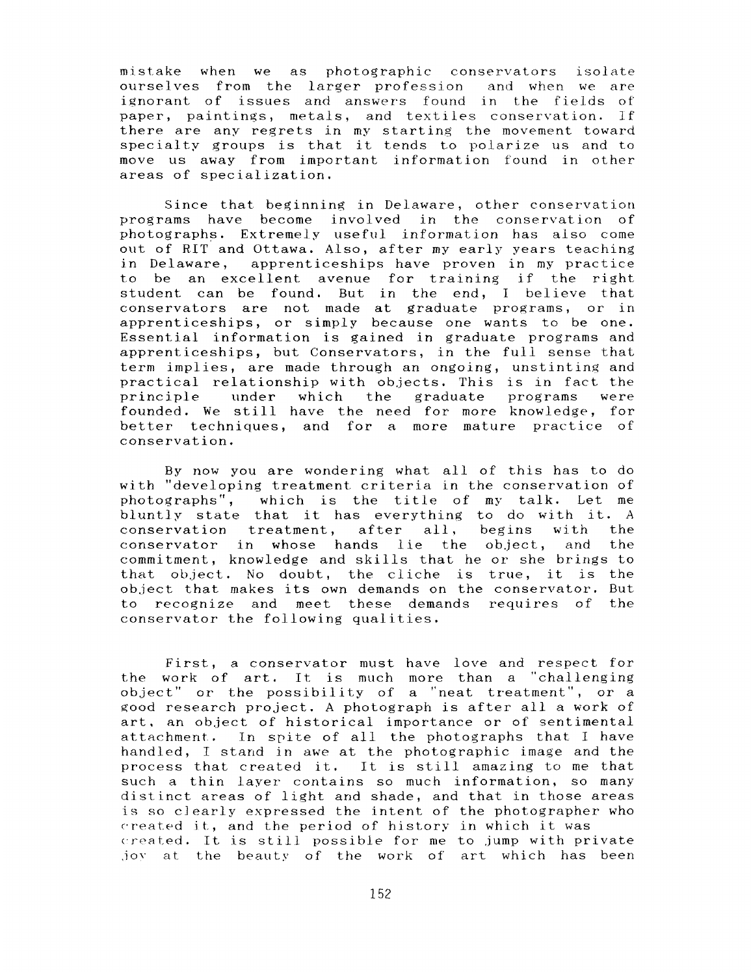mistake when we as photographic conservators isolate ourselves from the **larger** profession and when we are ignorant of issues and answers found in the fields of paper, paintings, metals, and textiles conservation. If there are any regrets in my starting the movement toward specialty groups is that it tends to polarize us and to move us away from important information found in other areas of specialization.

Since that beginning in Delaware, other conservation programs have become involved in the conservation of photographs. Extremely useful information has also come out of RIT and Ottawa. Also, after my early years teaching in Delaware, apprenticeships have proven in my practice to be an excellent avenue for training if the right student can be found. But in the end, I believe that conservators are not made at graduate programs, or in apprenticeships, or simply because one wants to be one. Essential information is gained in graduate programs and apprenticeships, but Conservators, in the full sense that term implies, are made through an ongoing, unstinting and practical relationship with objects. This is in fact the<br>principle – under – which – the graduate – programs – were principle under which the graduate programs founded. We still have the need for more knowledge, for better techniques, and for a more mature practice of conservation.

By now you are wondering what all of this has to do with "developing treatment criteria in the conservation of photographs", which is the title of my talk. Let me bluntly state that it has everything to do with it. A conservation treatment, after all, begins with the conservator in whose hands lie the ob.ject, and the commitment, knowledge and skills that he or she brings to that ob.ject. No doubt, the cliche is true, it is the object that makes its own demands on the conservator. But to recognize and meet these demands requires of the conservator the following qualities.

First, a conservator must have love and respect for the work of art. It is much more than a "challenging object" **or** the possibility of a "neat treatment", or a good research project. **A** photograph is after all a **work** of art, an ob.ject of historical importance **or** of sentimental attachment. In spite of all the photographs that I have handled, I stand in awe at the photographic image and the process that created it. It is still amazing to me that such a thin layer- contains *so* much information, *so* many distinct areas of light and shade, and that in those areas is so clearly expressed the intent of the photographer who created it, and the period of history in which it was created. It is still possible for me to jump with private .joy at the beauty *of* the work of art which has been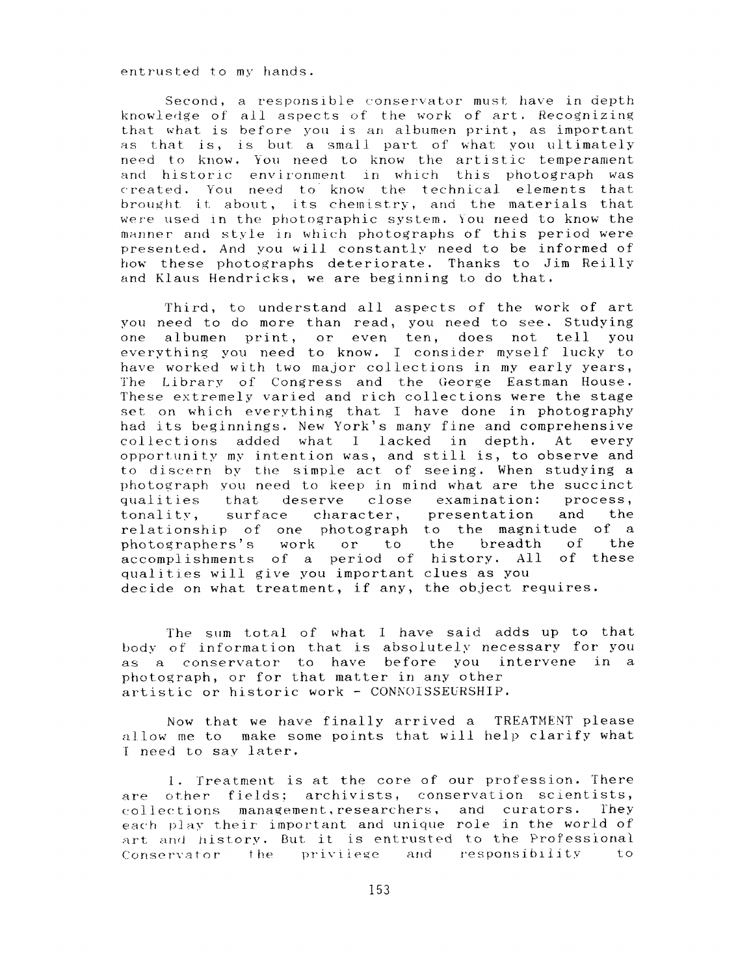entrus ted to my hands.

Second, a responsible conservator must have in depth knowledge of all aspects of the work of art. Recognizing that what is before you is an albumen print, as important as that is, is but a small part of what you ultimately need to know. You need to know the artistic temperament and historic environment in which this photograph was created. You need to know the technical elements that brought it about, its chemistry, and the materials that were used in the photographic system. You need to know the manner and style in which photographs of this period were presented. And you will constantly need to be informed of how these photographs deteriorate. Thanks to Jim Reills and Klaus Hendricks, we are beginning to do that.

Third, to understand all aspects of the work of art you need to do more than read, you need to see. Studying one albumen print, or even ten, does not tell you everything you need to know. I consider myself lucky to have worked with two major collections in my early years, The Library of Congress and the George Eastman House. l'hese extremely varied and rich collections were the stage set on which everything that I have done in photography had its beginnings. New **York's** many fine and comprehensive collections added what I lacked in depth. At every opportunity my intention was, and still is, to observe and to discern by the simple act of seeing. When studying a photograph YOU need to keep in mind what are the succinct qualities that deserve close examination: process,<br>tonality, surface character, presentation and the surface character, presentation and the relationship of one photograph to the magnitude of a photographers's work *or* to the breadth of the accomplishments of a period of history. All of these qualities will give you important clues as you decide on what treatment, if any, the object requires.

The slim total of what I have said adds **up** to that hod?; of information that is absolutely necessary for you as a conservator to have before you intervene in a photograph, or for that matter in any other artistic or historic work - CONNOISSEURSHIP.

how that we have finally arrived a TREATMENT please allow me to make some points that will help clarify what **<sup>1</sup>**need to sav later.

1. Treatment is at the core of our profession. There are other fields: archivists, conservation scientists, collections management, researchers, and curators. They each play their important and unique role in the world of art and history. But it is entrusted to the Professional Conservator the privilege and responsibility to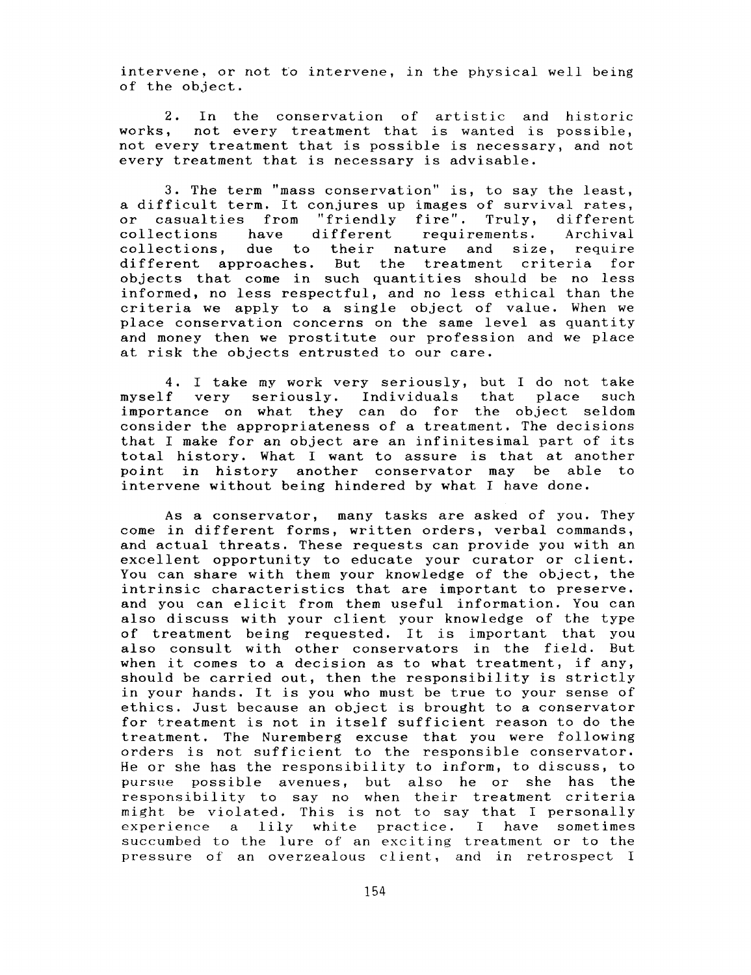intervene, or not to intervene, in the physical well being of the object.

2. In the conservation of artistic and historic works, not every treatment that is wanted is possible, not every treatment that is possible is necessary, and not every treatment that is necessary is advisable.

**3.** The term "mass conservation" is, to say the least, a difficult term. It conjures up images of survival rates, or casualties from "friendly fire". Truly, different collections have different requirements. Archival due to their nature and size, require different approaches. But the treatment criteria for objects that come in such quantities should be no less informed, no less respectful, and no less ethical than the criteria we apply to a single object of value. When we place conservation concerns on the same level as quantity and money then we prostitute our profession and we place at risk the objects entrusted to our care.

4. I take my work very seriously, but I do not take myself very seriously. Individuals that place such importance on what they can do for the object seldom consider the appropriateness of a treatment. The decisions that I make for an object are an infinitesimal part of its total history. What I want to assure is that at another point in history another conservator may be able to intervene without being hindered by what I have done.

**As** a conservator, many tasks are asked of you. They come in different forms, written orders, verbal commands, and actual threats. These requests can provide you with an excellent opportunity to educate your curator or client. You can share with them your knowledge of the object, the intrinsic characteristics that are important to preserve. and you can elicit from them useful information. You can also discuss with your client your knowledge of the type of treatment being requested. It is important that you also consult with other conservators in the field. But when it comes to a decision as to what treatment, if any, should be carried out, then the responsibility is strictly in your hands. It is you who must be true to your sense of ethics. Just because an object is brought to a conservator for treatment is not in itself sufficient reason to do the treatment. The Nuremberg excuse that you were following orders is not sufficient to the responsible conservator. He or she has the responsibility to inform, to discuss, to pursue possible avenues, but also he or she has the responsibility to say no when their treatment criteria might be violated. This is not to say that I personally experience a lily white practice. I have sometimes succumbed to the lure of' an exciting treatment or to the pressure of an overzealous client, and in retrospect I